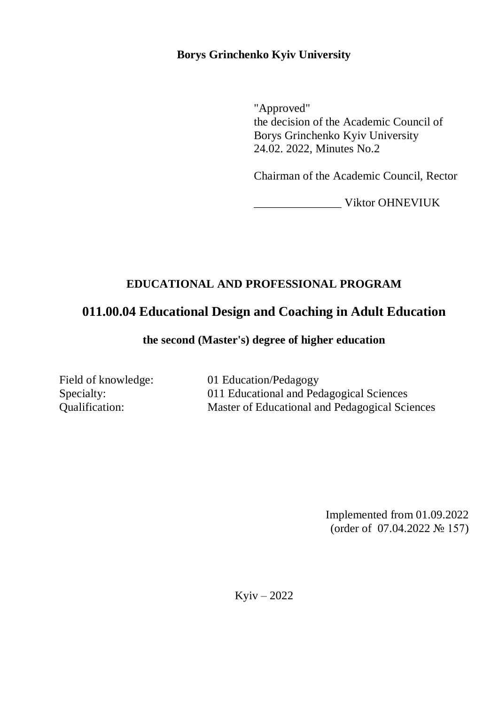### **Borys Grinchenko Kyiv University**

"Approved" the decision of the Academic Council of Borys Grinchenko Kyiv University 24.02. 2022, Minutes No.2

Chairman of the Academic Council, Rector

\_\_\_\_\_\_\_\_\_\_\_\_\_\_\_ Viktor OHNEVIUK

## **EDUCATIONAL AND PROFESSIONAL PROGRAM**

# **011.00.04 Educational Design and Coaching in Adult Education**

**the second (Master's) degree of higher education**

Field of knowledge: 01 Education/Pedagogy Specialty: 011 Educational and Pedagogical Sciences Qualification: Master of Educational and Pedagogical Sciences

> Implemented from 01.09.2022 (order of 07.04.2022 № 157)

Kyiv – 2022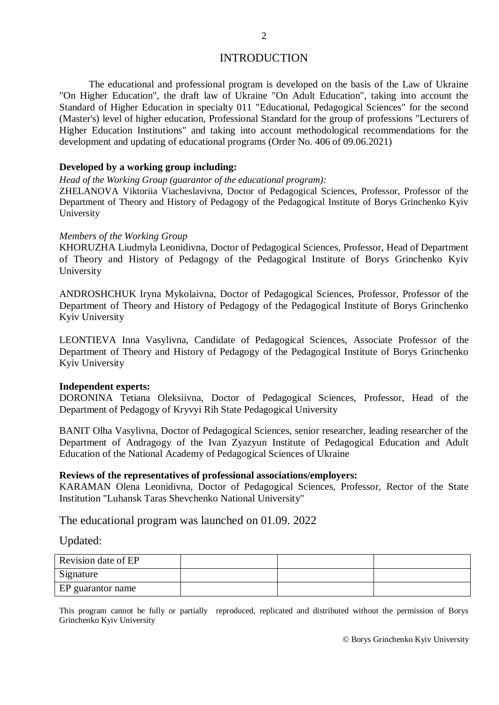### INTRODUCTION

The educational and professional program is developed on the basis of the Law of Ukraine "On Higher Education", the draft law of Ukraine "On Adult Education", taking into account the Standard of Higher Education in specialty 011 "Educational, Pedagogical Sciences" for the second (Master's) level of higher education, Professional Standard for the group of professions "Lecturers of Higher Education Institutions" and taking into account methodological recommendations for the development and updating of educational programs (Order No. 406 of 09.06.2021)

#### **Developed by a working group including:**

*Head of the Working Group (guarantor of the educational program):*

ZHELANOVA Viktoriia Viacheslavivna, Doctor of Pedagogical Sciences, Professor, Professor of the Department of Theory and History of Pedagogy of the Pedagogical Institute of Borys Grinchenko Kyiv University

#### *Members of the Working Group*

KHORUZHA Liudmyla Leonidivna, Doctor of Pedagogical Sciences, Professor, Head of Department of Theory and History of Pedagogy of the Pedagogical Institute of Borys Grinchenko Kyiv University

ANDROSHCHUK Iryna Mykolaivna, Doctor of Pedagogical Sciences, Professor, Professor of the Department of Theory and History of Pedagogy of the Pedagogical Institute of Borys Grinchenko Kyiv University

LEONTIEVA Inna Vasylivna, Candidate of Pedagogical Sciences, Associate Professor of the Department of Theory and History of Pedagogy of the Pedagogical Institute of Borys Grinchenko Kyiv University

#### **Independent experts:**

DORONINA Tetiana Oleksiivna, Doctor of Pedagogical Sciences, Professor, Head of the Department of Pedagogy of Kryvyi Rih State Pedagogical University

BANIT Olha Vasylivna, Doctor of Pedagogical Sciences, senior researcher, leading researcher of the Department of Andragogy of the Ivan Zyazyun Institute of Pedagogical Education and Adult Education of the National Academy of Pedagogical Sciences of Ukraine

#### **Reviews of the representatives of professional associations/employers:**

KARAMAN Olena Leonidivna, Doctor of Pedagogical Sciences, Professor, Rector of the State Institution "Luhansk Taras Shevchenko National University"

The educational program was launched on 01.09. 2022

Updated:

| Revision date of EP |  |  |
|---------------------|--|--|
| Signature           |  |  |
| EP guarantor name   |  |  |

This program cannot be fully or partially reproduced, replicated and distributed without the permission of Borys Grinchenko Kyiv University

© Borys Grinchenko Kyiv University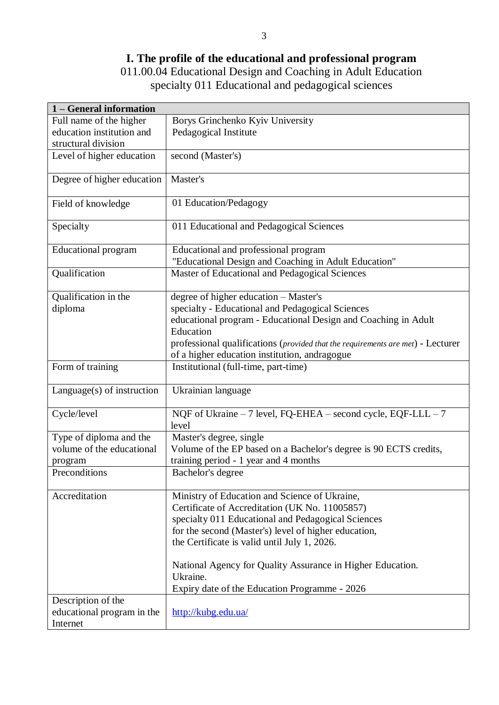## **I. The profile of the educational and professional program**

011.00.04 Educational Design and Coaching in Adult Education specialty 011 Educational and pedagogical sciences

| 1 - General information      |                                                                                 |
|------------------------------|---------------------------------------------------------------------------------|
| Full name of the higher      | Borys Grinchenko Kyiv University                                                |
| education institution and    | Pedagogical Institute                                                           |
| structural division          |                                                                                 |
| Level of higher education    | second (Master's)                                                               |
| Degree of higher education   | Master's                                                                        |
| Field of knowledge           | 01 Education/Pedagogy                                                           |
| Specialty                    | 011 Educational and Pedagogical Sciences                                        |
| <b>Educational program</b>   | Educational and professional program                                            |
|                              | "Educational Design and Coaching in Adult Education"                            |
| Qualification                | Master of Educational and Pedagogical Sciences                                  |
| Qualification in the         | degree of higher education - Master's                                           |
| diploma                      | specialty - Educational and Pedagogical Sciences                                |
|                              | educational program - Educational Design and Coaching in Adult                  |
|                              | Education                                                                       |
|                              | professional qualifications (provided that the requirements are met) - Lecturer |
|                              | of a higher education institution, andragogue                                   |
| Form of training             | Institutional (full-time, part-time)                                            |
| $Language(s)$ of instruction | Ukrainian language                                                              |
| Cycle/level                  | NQF of Ukraine - 7 level, FQ-EHEA - second cycle, EQF-LLL - 7<br>level          |
| Type of diploma and the      | Master's degree, single                                                         |
| volume of the educational    | Volume of the EP based on a Bachelor's degree is 90 ECTS credits,               |
| program                      | training period - 1 year and 4 months                                           |
| Preconditions                | Bachelor's degree                                                               |
| Accreditation                | Ministry of Education and Science of Ukraine,                                   |
|                              | Certificate of Accreditation (UK No. 11005857)                                  |
|                              | specialty 011 Educational and Pedagogical Sciences                              |
|                              | for the second (Master's) level of higher education,                            |
|                              | the Certificate is valid until July 1, 2026.                                    |
|                              | National Agency for Quality Assurance in Higher Education.<br>Ukraine.          |
|                              | Expiry date of the Education Programme - 2026                                   |
| Description of the           |                                                                                 |
| educational program in the   | http://kubg.edu.ua/                                                             |
| Internet                     |                                                                                 |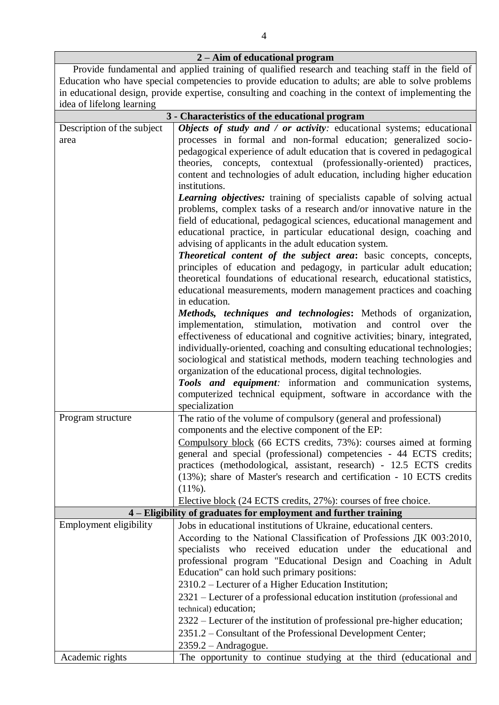| 2 – Aim of educational program |                                                                                                                                                                                                                                                                                                                                                                                                                                                                                                                                                                                                                                                                                                                                                                                                                         |  |  |  |  |  |  |
|--------------------------------|-------------------------------------------------------------------------------------------------------------------------------------------------------------------------------------------------------------------------------------------------------------------------------------------------------------------------------------------------------------------------------------------------------------------------------------------------------------------------------------------------------------------------------------------------------------------------------------------------------------------------------------------------------------------------------------------------------------------------------------------------------------------------------------------------------------------------|--|--|--|--|--|--|
|                                | Provide fundamental and applied training of qualified research and teaching staff in the field of<br>Education who have special competencies to provide education to adults; are able to solve problems                                                                                                                                                                                                                                                                                                                                                                                                                                                                                                                                                                                                                 |  |  |  |  |  |  |
| idea of lifelong learning      | in educational design, provide expertise, consulting and coaching in the context of implementing the                                                                                                                                                                                                                                                                                                                                                                                                                                                                                                                                                                                                                                                                                                                    |  |  |  |  |  |  |
|                                | 3 - Characteristics of the educational program                                                                                                                                                                                                                                                                                                                                                                                                                                                                                                                                                                                                                                                                                                                                                                          |  |  |  |  |  |  |
| Description of the subject     | Objects of study and / or activity: educational systems; educational                                                                                                                                                                                                                                                                                                                                                                                                                                                                                                                                                                                                                                                                                                                                                    |  |  |  |  |  |  |
| area                           | processes in formal and non-formal education; generalized socio-<br>pedagogical experience of adult education that is covered in pedagogical<br>theories, concepts, contextual (professionally-oriented) practices,<br>content and technologies of adult education, including higher education<br>institutions.                                                                                                                                                                                                                                                                                                                                                                                                                                                                                                         |  |  |  |  |  |  |
|                                | <b>Learning objectives:</b> training of specialists capable of solving actual<br>problems, complex tasks of a research and/or innovative nature in the<br>field of educational, pedagogical sciences, educational management and<br>educational practice, in particular educational design, coaching and<br>advising of applicants in the adult education system.<br>Theoretical content of the subject area: basic concepts, concepts,<br>principles of education and pedagogy, in particular adult education;<br>theoretical foundations of educational research, educational statistics,<br>educational measurements, modern management practices and coaching<br>in education.<br>Methods, techniques and technologies: Methods of organization,<br>implementation, stimulation, motivation and control over<br>the |  |  |  |  |  |  |
|                                | effectiveness of educational and cognitive activities; binary, integrated,<br>individually-oriented, coaching and consulting educational technologies;<br>sociological and statistical methods, modern teaching technologies and<br>organization of the educational process, digital technologies.<br>Tools and equipment: information and communication systems,<br>computerized technical equipment, software in accordance with the<br>specialization                                                                                                                                                                                                                                                                                                                                                                |  |  |  |  |  |  |
| Program structure              | The ratio of the volume of compulsory (general and professional)<br>components and the elective component of the EP:<br>Compulsory block (66 ECTS credits, 73%): courses aimed at forming<br>general and special (professional) competencies - 44 ECTS credits;<br>practices (methodological, assistant, research) - 12.5 ECTS credits<br>(13%); share of Master's research and certification - 10 ECTS credits<br>$(11\%)$ .<br>Elective block (24 ECTS credits, 27%): courses of free choice.                                                                                                                                                                                                                                                                                                                         |  |  |  |  |  |  |
|                                |                                                                                                                                                                                                                                                                                                                                                                                                                                                                                                                                                                                                                                                                                                                                                                                                                         |  |  |  |  |  |  |
| Employment eligibility         | 4 – Eligibility of graduates for employment and further training<br>Jobs in educational institutions of Ukraine, educational centers.<br>According to the National Classification of Professions ДК 003:2010,                                                                                                                                                                                                                                                                                                                                                                                                                                                                                                                                                                                                           |  |  |  |  |  |  |
|                                | specialists who received education under the educational and<br>professional program "Educational Design and Coaching in Adult<br>Education" can hold such primary positions:<br>2310.2 – Lecturer of a Higher Education Institution;<br>2321 – Lecturer of a professional education institution (professional and                                                                                                                                                                                                                                                                                                                                                                                                                                                                                                      |  |  |  |  |  |  |
|                                | technical) education;<br>2322 – Lecturer of the institution of professional pre-higher education;<br>2351.2 – Consultant of the Professional Development Center;<br>$2359.2 - Andragogue.$                                                                                                                                                                                                                                                                                                                                                                                                                                                                                                                                                                                                                              |  |  |  |  |  |  |
| Academic rights                | The opportunity to continue studying at the third (educational and                                                                                                                                                                                                                                                                                                                                                                                                                                                                                                                                                                                                                                                                                                                                                      |  |  |  |  |  |  |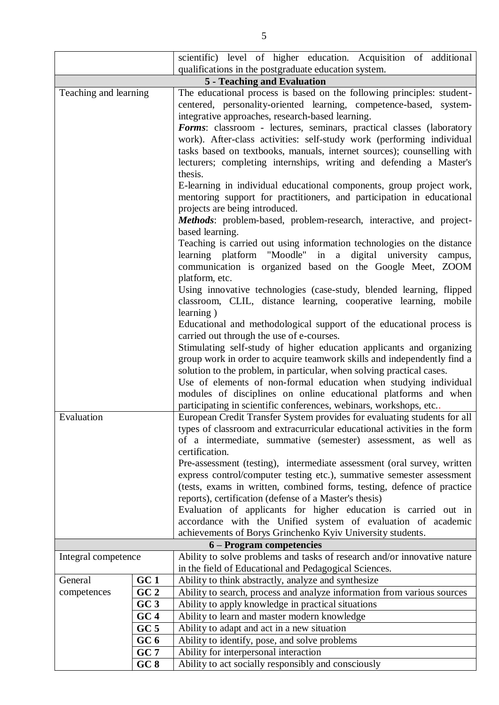|                       | scientific) level of higher education. Acquisition of additional                                                                                                                                                         |                                                                                                                                                                                                                                                                          |  |  |  |  |  |  |  |  |
|-----------------------|--------------------------------------------------------------------------------------------------------------------------------------------------------------------------------------------------------------------------|--------------------------------------------------------------------------------------------------------------------------------------------------------------------------------------------------------------------------------------------------------------------------|--|--|--|--|--|--|--|--|
|                       |                                                                                                                                                                                                                          | qualifications in the postgraduate education system.                                                                                                                                                                                                                     |  |  |  |  |  |  |  |  |
|                       |                                                                                                                                                                                                                          | <b>5 - Teaching and Evaluation</b>                                                                                                                                                                                                                                       |  |  |  |  |  |  |  |  |
| Teaching and learning |                                                                                                                                                                                                                          | The educational process is based on the following principles: student-<br>centered, personality-oriented learning, competence-based, system-<br>integrative approaches, research-based learning.<br>Forms: classroom - lectures, seminars, practical classes (laboratory |  |  |  |  |  |  |  |  |
|                       |                                                                                                                                                                                                                          | work). After-class activities: self-study work (performing individual<br>tasks based on textbooks, manuals, internet sources); counselling with<br>lecturers; completing internships, writing and defending a Master's                                                   |  |  |  |  |  |  |  |  |
|                       |                                                                                                                                                                                                                          | thesis.                                                                                                                                                                                                                                                                  |  |  |  |  |  |  |  |  |
|                       |                                                                                                                                                                                                                          | E-learning in individual educational components, group project work,<br>mentoring support for practitioners, and participation in educational<br>projects are being introduced.                                                                                          |  |  |  |  |  |  |  |  |
|                       |                                                                                                                                                                                                                          | Methods: problem-based, problem-research, interactive, and project-<br>based learning.                                                                                                                                                                                   |  |  |  |  |  |  |  |  |
|                       |                                                                                                                                                                                                                          | Teaching is carried out using information technologies on the distance<br>learning platform "Moodle" in a digital university campus,<br>communication is organized based on the Google Meet, ZOOM                                                                        |  |  |  |  |  |  |  |  |
|                       |                                                                                                                                                                                                                          | platform, etc.<br>Using innovative technologies (case-study, blended learning, flipped<br>classroom, CLIL, distance learning, cooperative learning, mobile                                                                                                               |  |  |  |  |  |  |  |  |
|                       |                                                                                                                                                                                                                          | learning)<br>Educational and methodological support of the educational process is<br>carried out through the use of e-courses.                                                                                                                                           |  |  |  |  |  |  |  |  |
|                       | Stimulating self-study of higher education applicants and organizing<br>group work in order to acquire teamwork skills and independently find a<br>solution to the problem, in particular, when solving practical cases. |                                                                                                                                                                                                                                                                          |  |  |  |  |  |  |  |  |
|                       |                                                                                                                                                                                                                          | Use of elements of non-formal education when studying individual<br>modules of disciplines on online educational platforms and when<br>participating in scientific conferences, webinars, workshops, etc                                                                 |  |  |  |  |  |  |  |  |
| Evaluation            |                                                                                                                                                                                                                          | European Credit Transfer System provides for evaluating students for all<br>types of classroom and extracurricular educational activities in the form<br>of a intermediate, summative (semester) assessment, as well as<br>certification.                                |  |  |  |  |  |  |  |  |
|                       |                                                                                                                                                                                                                          | Pre-assessment (testing), intermediate assessment (oral survey, written<br>express control/computer testing etc.), summative semester assessment                                                                                                                         |  |  |  |  |  |  |  |  |
|                       |                                                                                                                                                                                                                          | (tests, exams in written, combined forms, testing, defence of practice<br>reports), certification (defense of a Master's thesis)                                                                                                                                         |  |  |  |  |  |  |  |  |
|                       |                                                                                                                                                                                                                          | Evaluation of applicants for higher education is carried out in                                                                                                                                                                                                          |  |  |  |  |  |  |  |  |
|                       |                                                                                                                                                                                                                          | accordance with the Unified system of evaluation of academic<br>achievements of Borys Grinchenko Kyiv University students.                                                                                                                                               |  |  |  |  |  |  |  |  |
|                       |                                                                                                                                                                                                                          | 6 – Program competencies                                                                                                                                                                                                                                                 |  |  |  |  |  |  |  |  |
| Integral competence   |                                                                                                                                                                                                                          | Ability to solve problems and tasks of research and/or innovative nature                                                                                                                                                                                                 |  |  |  |  |  |  |  |  |
|                       |                                                                                                                                                                                                                          | in the field of Educational and Pedagogical Sciences.                                                                                                                                                                                                                    |  |  |  |  |  |  |  |  |
| General               | GC1                                                                                                                                                                                                                      | Ability to think abstractly, analyze and synthesize                                                                                                                                                                                                                      |  |  |  |  |  |  |  |  |
| competences           | GC <sub>2</sub>                                                                                                                                                                                                          | Ability to search, process and analyze information from various sources                                                                                                                                                                                                  |  |  |  |  |  |  |  |  |
|                       | GC3                                                                                                                                                                                                                      | Ability to apply knowledge in practical situations                                                                                                                                                                                                                       |  |  |  |  |  |  |  |  |
|                       | GC4                                                                                                                                                                                                                      | Ability to learn and master modern knowledge                                                                                                                                                                                                                             |  |  |  |  |  |  |  |  |
|                       | GC <sub>5</sub>                                                                                                                                                                                                          | Ability to adapt and act in a new situation                                                                                                                                                                                                                              |  |  |  |  |  |  |  |  |
|                       | GC <sub>6</sub>                                                                                                                                                                                                          | Ability to identify, pose, and solve problems                                                                                                                                                                                                                            |  |  |  |  |  |  |  |  |
|                       | GC7                                                                                                                                                                                                                      | Ability for interpersonal interaction                                                                                                                                                                                                                                    |  |  |  |  |  |  |  |  |
|                       | GC8                                                                                                                                                                                                                      | Ability to act socially responsibly and consciously                                                                                                                                                                                                                      |  |  |  |  |  |  |  |  |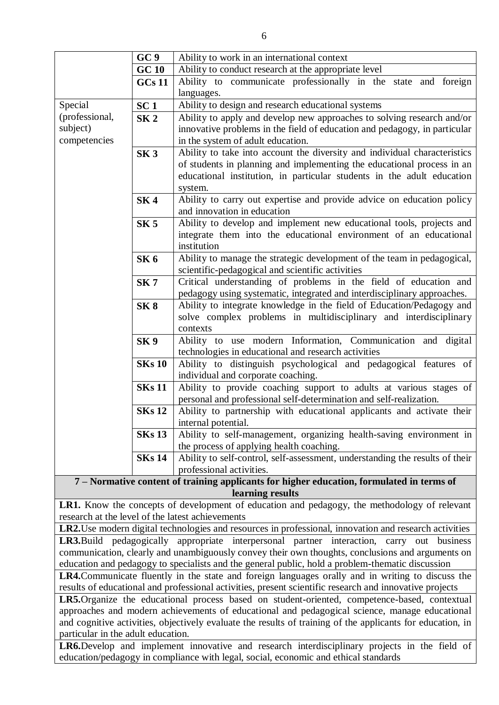|                | GC <sub>9</sub> | Ability to work in an international context                                                                             |  |  |  |  |  |  |  |  |
|----------------|-----------------|-------------------------------------------------------------------------------------------------------------------------|--|--|--|--|--|--|--|--|
|                | <b>GC 10</b>    | Ability to conduct research at the appropriate level                                                                    |  |  |  |  |  |  |  |  |
|                | <b>GCs 11</b>   | Ability to communicate professionally in the state and foreign                                                          |  |  |  |  |  |  |  |  |
|                |                 | languages.                                                                                                              |  |  |  |  |  |  |  |  |
| Special        | SC <sub>1</sub> | Ability to design and research educational systems                                                                      |  |  |  |  |  |  |  |  |
| (professional, | SK <sub>2</sub> | Ability to apply and develop new approaches to solving research and/or                                                  |  |  |  |  |  |  |  |  |
| subject)       |                 | innovative problems in the field of education and pedagogy, in particular                                               |  |  |  |  |  |  |  |  |
| competencies   |                 | in the system of adult education.                                                                                       |  |  |  |  |  |  |  |  |
|                | SK <sub>3</sub> | Ability to take into account the diversity and individual characteristics                                               |  |  |  |  |  |  |  |  |
|                |                 | of students in planning and implementing the educational process in an                                                  |  |  |  |  |  |  |  |  |
|                |                 | educational institution, in particular students in the adult education                                                  |  |  |  |  |  |  |  |  |
|                |                 | system.                                                                                                                 |  |  |  |  |  |  |  |  |
|                | SK <sub>4</sub> | Ability to carry out expertise and provide advice on education policy                                                   |  |  |  |  |  |  |  |  |
|                |                 | and innovation in education                                                                                             |  |  |  |  |  |  |  |  |
|                | SK <sub>5</sub> | Ability to develop and implement new educational tools, projects and                                                    |  |  |  |  |  |  |  |  |
|                |                 | integrate them into the educational environment of an educational                                                       |  |  |  |  |  |  |  |  |
|                |                 | institution                                                                                                             |  |  |  |  |  |  |  |  |
|                | SK <sub>6</sub> | Ability to manage the strategic development of the team in pedagogical,                                                 |  |  |  |  |  |  |  |  |
|                |                 | scientific-pedagogical and scientific activities                                                                        |  |  |  |  |  |  |  |  |
|                | SK <sub>7</sub> | Critical understanding of problems in the field of education and                                                        |  |  |  |  |  |  |  |  |
|                |                 | pedagogy using systematic, integrated and interdisciplinary approaches.                                                 |  |  |  |  |  |  |  |  |
|                | SK 8            | Ability to integrate knowledge in the field of Education/Pedagogy and                                                   |  |  |  |  |  |  |  |  |
|                |                 | solve complex problems in multidisciplinary and interdisciplinary                                                       |  |  |  |  |  |  |  |  |
|                |                 | contexts                                                                                                                |  |  |  |  |  |  |  |  |
|                | SK <sub>9</sub> | Ability to use modern Information, Communication and digital                                                            |  |  |  |  |  |  |  |  |
|                | <b>SKs 10</b>   | technologies in educational and research activities<br>Ability to distinguish psychological and pedagogical features of |  |  |  |  |  |  |  |  |
|                |                 | individual and corporate coaching.                                                                                      |  |  |  |  |  |  |  |  |
|                | <b>SKs 11</b>   | Ability to provide coaching support to adults at various stages of                                                      |  |  |  |  |  |  |  |  |
|                |                 | personal and professional self-determination and self-realization.                                                      |  |  |  |  |  |  |  |  |
|                | <b>SKs 12</b>   | Ability to partnership with educational applicants and activate their                                                   |  |  |  |  |  |  |  |  |
|                |                 | internal potential.                                                                                                     |  |  |  |  |  |  |  |  |
|                | <b>SKs 13</b>   | Ability to self-management, organizing health-saving environment in                                                     |  |  |  |  |  |  |  |  |
|                |                 | the process of applying health coaching.                                                                                |  |  |  |  |  |  |  |  |
|                | <b>SKs 14</b>   | Ability to self-control, self-assessment, understanding the results of their                                            |  |  |  |  |  |  |  |  |
|                |                 | professional activities.                                                                                                |  |  |  |  |  |  |  |  |
|                |                 | 7 - Normative content of training applicants for higher education, formulated in terms of                               |  |  |  |  |  |  |  |  |
|                |                 | learning results                                                                                                        |  |  |  |  |  |  |  |  |
|                |                 |                                                                                                                         |  |  |  |  |  |  |  |  |

**LR1.** Know the concepts of development of education and pedagogy, the methodology of relevant research at the level of the latest achievements

**LR2.**Use modern digital technologies and resources in professional, innovation and research activities **LR3.**Build pedagogically appropriate interpersonal partner interaction, carry out business communication, clearly and unambiguously convey their own thoughts, conclusions and arguments on education and pedagogy to specialists and the general public, hold a problem-thematic discussion

**LR4.**Communicate fluently in the state and foreign languages orally and in writing to discuss the results of educational and professional activities, present scientific research and innovative projects

**LR5.**Organize the educational process based on student-oriented, competence-based, contextual approaches and modern achievements of educational and pedagogical science, manage educational and cognitive activities, objectively evaluate the results of training of the applicants for education, in particular in the adult education.

**LR6.**Develop and implement innovative and research interdisciplinary projects in the field of education/pedagogy in compliance with legal, social, economic and ethical standards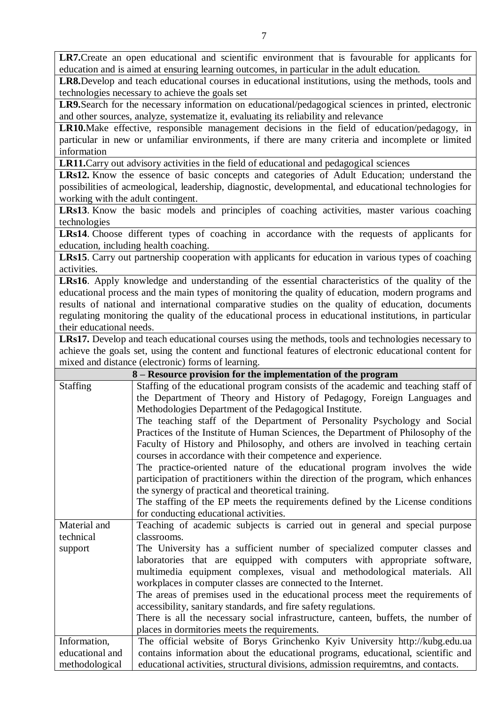LR7. Create an open educational and scientific environment that is favourable for applicants for education and is aimed at ensuring learning outcomes, in particular in the adult education.

**LR8.**Develop and teach educational courses in educational institutions, using the methods, tools and technologies necessary to achieve the goals set

**LR9.**Search for the necessary information on educational/pedagogical sciences in printed, electronic and other sources, analyze, systematize it, evaluating its reliability and relevance

**LR10.**Make effective, responsible management decisions in the field of education/pedagogy, in particular in new or unfamiliar environments, if there are many criteria and incomplete or limited information

**LR11.**Carry out advisory activities in the field of educational and pedagogical sciences

**LRs12.** Know the essence of basic concepts and categories of Adult Education; understand the possibilities of acmeological, leadership, diagnostic, developmental, and educational technologies for working with the adult contingent.

**LRs13**. Know the basic models and principles of coaching activities, master various coaching technologies

**LRs14**. Choose different types of coaching in accordance with the requests of applicants for education, including health coaching.

**LRs15**. Carry out partnership cooperation with applicants for education in various types of coaching activities.

**LRs16**. Apply knowledge and understanding of the essential characteristics of the quality of the educational process and the main types of monitoring the quality of education, modern programs and results of national and international comparative studies on the quality of education, documents regulating monitoring the quality of the educational process in educational institutions, in particular their educational needs.

**LRs17.** Develop and teach educational courses using the methods, tools and technologies necessary to achieve the goals set, using the content and functional features of electronic educational content for mixed and distance (electronic) forms of learning.

|                 | 8 – Resource provision for the implementation of the program                       |
|-----------------|------------------------------------------------------------------------------------|
| <b>Staffing</b> | Staffing of the educational program consists of the academic and teaching staff of |
|                 | the Department of Theory and History of Pedagogy, Foreign Languages and            |
|                 | Methodologies Department of the Pedagogical Institute.                             |
|                 | The teaching staff of the Department of Personality Psychology and Social          |
|                 | Practices of the Institute of Human Sciences, the Department of Philosophy of the  |
|                 | Faculty of History and Philosophy, and others are involved in teaching certain     |
|                 | courses in accordance with their competence and experience.                        |
|                 | The practice-oriented nature of the educational program involves the wide          |
|                 | participation of practitioners within the direction of the program, which enhances |
|                 | the synergy of practical and theoretical training.                                 |
|                 | The staffing of the EP meets the requirements defined by the License conditions    |
|                 | for conducting educational activities.                                             |
| Material and    | Teaching of academic subjects is carried out in general and special purpose        |
| technical       | classrooms.                                                                        |
| support         | The University has a sufficient number of specialized computer classes and         |
|                 | laboratories that are equipped with computers with appropriate software,           |
|                 | multimedia equipment complexes, visual and methodological materials. All           |
|                 | workplaces in computer classes are connected to the Internet.                      |
|                 | The areas of premises used in the educational process meet the requirements of     |
|                 | accessibility, sanitary standards, and fire safety regulations.                    |
|                 | There is all the necessary social infrastructure, canteen, buffets, the number of  |
|                 | places in dormitories meets the requirements.                                      |
| Information,    | The official website of Borys Grinchenko Kyiv University http://kubg.edu.ua        |
| educational and | contains information about the educational programs, educational, scientific and   |
| methodological  | educational activities, structural divisions, admission requiremtns, and contacts. |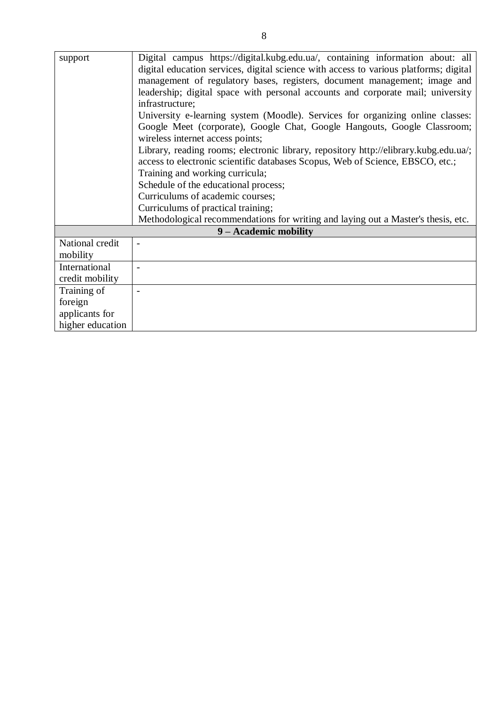| support          | Digital campus https://digital.kubg.edu.ua/, containing information about: all        |
|------------------|---------------------------------------------------------------------------------------|
|                  | digital education services, digital science with access to various platforms; digital |
|                  | management of regulatory bases, registers, document management; image and             |
|                  | leadership; digital space with personal accounts and corporate mail; university       |
|                  | infrastructure;                                                                       |
|                  | University e-learning system (Moodle). Services for organizing online classes:        |
|                  | Google Meet (corporate), Google Chat, Google Hangouts, Google Classroom;              |
|                  | wireless internet access points;                                                      |
|                  | Library, reading rooms; electronic library, repository http://elibrary.kubg.edu.ua/;  |
|                  | access to electronic scientific databases Scopus, Web of Science, EBSCO, etc.;        |
|                  | Training and working curricula;                                                       |
|                  | Schedule of the educational process;                                                  |
|                  | Curriculums of academic courses;                                                      |
|                  | Curriculums of practical training;                                                    |
|                  | Methodological recommendations for writing and laying out a Master's thesis, etc.     |
|                  | 9 - Academic mobility                                                                 |
| National credit  | $\overline{\phantom{a}}$                                                              |
| mobility         |                                                                                       |
| International    |                                                                                       |
| credit mobility  |                                                                                       |
| Training of      |                                                                                       |
| foreign          |                                                                                       |
| applicants for   |                                                                                       |
| higher education |                                                                                       |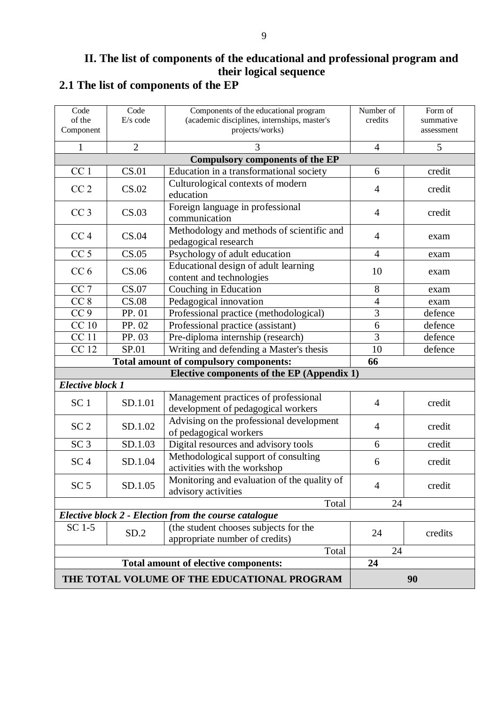### **II. The list of components of the educational and professional program and their logical sequence 2.1 The list of components of the EP**

| Code<br>of the<br>Component | Code<br>E/s code                       | Components of the educational program<br>(academic disciplines, internships, master's<br>projects/works) | Number of<br>credits | Form of<br>summative<br>assessment |
|-----------------------------|----------------------------------------|----------------------------------------------------------------------------------------------------------|----------------------|------------------------------------|
|                             |                                        |                                                                                                          |                      |                                    |
| 1                           | $\overline{2}$                         | 3                                                                                                        | $\overline{4}$       | 5                                  |
| CC <sub>1</sub>             | <b>CS.01</b>                           | <b>Compulsory components of the EP</b><br>Education in a transformational society                        | 6                    | credit                             |
|                             |                                        |                                                                                                          |                      |                                    |
| CC <sub>2</sub>             | CS.02                                  | Culturological contexts of modern<br>education                                                           | $\overline{4}$       | credit                             |
| CC <sub>3</sub>             | CS.03                                  | Foreign language in professional<br>communication                                                        | $\overline{4}$       | credit                             |
| CC <sub>4</sub>             | CS.04                                  | Methodology and methods of scientific and<br>pedagogical research                                        | $\overline{4}$       | exam                               |
| CC <sub>5</sub>             | CS.05                                  | Psychology of adult education                                                                            | $\overline{4}$       | exam                               |
| CC <sub>6</sub>             | CS.06                                  | Educational design of adult learning<br>content and technologies                                         | 10                   | exam                               |
| CC <sub>7</sub>             | CS.07                                  | Couching in Education                                                                                    | 8                    | exam                               |
| CC <sub>8</sub>             | CS.08                                  | Pedagogical innovation                                                                                   | $\overline{4}$       | exam                               |
| CC <sub>9</sub>             | PP. 01                                 | Professional practice (methodological)                                                                   | 3                    | defence                            |
| CC <sub>10</sub>            | PP. 02                                 | Professional practice (assistant)                                                                        | 6                    | defence                            |
| <b>CC11</b>                 | PP. 03                                 | Pre-diploma internship (research)                                                                        | $\overline{3}$       | defence                            |
| <b>CC12</b>                 | SP.01                                  | Writing and defending a Master's thesis                                                                  | 10                   | defence                            |
|                             | Total amount of compulsory components: | 66                                                                                                       |                      |                                    |
|                             |                                        | Elective components of the EP (Appendix 1)                                                               |                      |                                    |
| <b>Elective block 1</b>     |                                        |                                                                                                          |                      |                                    |
| SC <sub>1</sub>             | SD.1.01                                | Management practices of professional<br>development of pedagogical workers                               | $\overline{4}$       | credit                             |
| SC <sub>2</sub>             | SD.1.02                                | Advising on the professional development<br>of pedagogical workers                                       | $\overline{4}$       | credit                             |
| SC <sub>3</sub>             | SD.1.03                                | Digital resources and advisory tools                                                                     | 6                    | credit                             |
| SC <sub>4</sub>             | SD.1.04                                | Methodological support of consulting<br>activities with the workshop                                     | 6                    | credit                             |
| SC <sub>5</sub>             | SD.1.05                                | Monitoring and evaluation of the quality of<br>advisory activities                                       | $\overline{4}$       | credit                             |
|                             |                                        | Total                                                                                                    | 24                   |                                    |
|                             |                                        | Elective block 2 - Election from the course catalogue                                                    |                      |                                    |
| $SC1-5$                     | SD.2                                   | (the student chooses subjects for the<br>appropriate number of credits)                                  | 24                   | credits                            |
|                             |                                        | Total                                                                                                    | 24                   |                                    |
|                             |                                        | <b>Total amount of elective components:</b>                                                              | 24                   |                                    |
|                             |                                        | THE TOTAL VOLUME OF THE EDUCATIONAL PROGRAM                                                              |                      | 90                                 |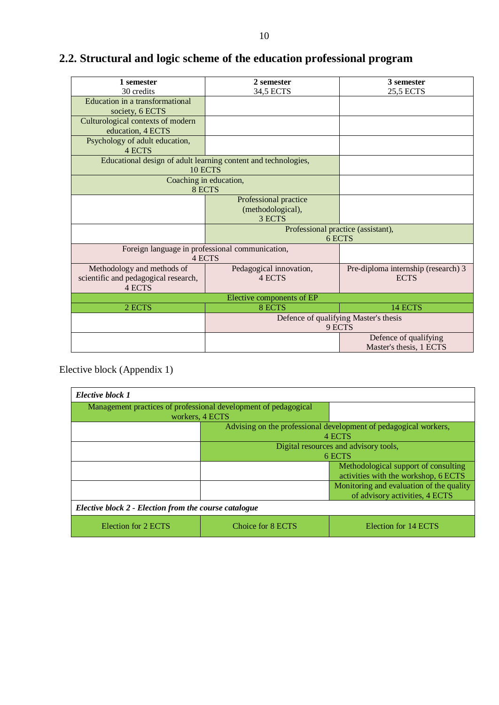# **2.2. Structural and logic scheme of the education professional program**

| 1 semester                                            | 2 semester                                                     | 3 semester                                         |  |  |  |  |  |
|-------------------------------------------------------|----------------------------------------------------------------|----------------------------------------------------|--|--|--|--|--|
| 30 credits                                            | 34,5 ECTS                                                      | 25,5 ECTS                                          |  |  |  |  |  |
| Education in a transformational                       |                                                                |                                                    |  |  |  |  |  |
| society, 6 ECTS                                       |                                                                |                                                    |  |  |  |  |  |
| Culturological contexts of modern                     |                                                                |                                                    |  |  |  |  |  |
| education, 4 ECTS                                     |                                                                |                                                    |  |  |  |  |  |
| Psychology of adult education,                        |                                                                |                                                    |  |  |  |  |  |
| <b>4 ECTS</b>                                         |                                                                |                                                    |  |  |  |  |  |
|                                                       | Educational design of adult learning content and technologies, |                                                    |  |  |  |  |  |
|                                                       | 10 ECTS                                                        |                                                    |  |  |  |  |  |
|                                                       | Coaching in education,                                         |                                                    |  |  |  |  |  |
|                                                       | 8 ECTS                                                         |                                                    |  |  |  |  |  |
|                                                       | Professional practice                                          |                                                    |  |  |  |  |  |
|                                                       | (methodological),                                              |                                                    |  |  |  |  |  |
|                                                       | 3 ECTS                                                         |                                                    |  |  |  |  |  |
|                                                       |                                                                | Professional practice (assistant),<br>6 ECTS       |  |  |  |  |  |
|                                                       |                                                                |                                                    |  |  |  |  |  |
|                                                       | Foreign language in professional communication,<br>4 ECTS      |                                                    |  |  |  |  |  |
|                                                       |                                                                |                                                    |  |  |  |  |  |
| Methodology and methods of                            | Pedagogical innovation,<br>4 ECTS                              | Pre-diploma internship (research) 3<br><b>ECTS</b> |  |  |  |  |  |
| scientific and pedagogical research,<br><b>4 ECTS</b> |                                                                |                                                    |  |  |  |  |  |
|                                                       |                                                                |                                                    |  |  |  |  |  |
|                                                       | Elective components of EP                                      |                                                    |  |  |  |  |  |
| 2 ECTS                                                | 8 ECTS                                                         | 14 ECTS                                            |  |  |  |  |  |
|                                                       |                                                                | Defence of qualifying Master's thesis              |  |  |  |  |  |
|                                                       |                                                                | 9 ECTS                                             |  |  |  |  |  |
|                                                       |                                                                | Defence of qualifying                              |  |  |  |  |  |
|                                                       |                                                                | Master's thesis, 1 ECTS                            |  |  |  |  |  |

Elective block (Appendix 1)

| Elective block 1                                                |                   |                                                                  |  |  |  |  |  |  |
|-----------------------------------------------------------------|-------------------|------------------------------------------------------------------|--|--|--|--|--|--|
| Management practices of professional development of pedagogical |                   |                                                                  |  |  |  |  |  |  |
| workers, 4 ECTS                                                 |                   |                                                                  |  |  |  |  |  |  |
|                                                                 |                   | Advising on the professional development of pedagogical workers, |  |  |  |  |  |  |
|                                                                 | 4 ECTS            |                                                                  |  |  |  |  |  |  |
| Digital resources and advisory tools,                           |                   |                                                                  |  |  |  |  |  |  |
| 6 ECTS                                                          |                   |                                                                  |  |  |  |  |  |  |
|                                                                 |                   | Methodological support of consulting                             |  |  |  |  |  |  |
|                                                                 |                   | activities with the workshop, 6 ECTS                             |  |  |  |  |  |  |
|                                                                 |                   | Monitoring and evaluation of the quality                         |  |  |  |  |  |  |
|                                                                 |                   | of advisory activities, 4 ECTS                                   |  |  |  |  |  |  |
| Elective block 2 - Election from the course catalogue           |                   |                                                                  |  |  |  |  |  |  |
| Election for 2 ECTS                                             | Choice for 8 ECTS | Election for 14 ECTS                                             |  |  |  |  |  |  |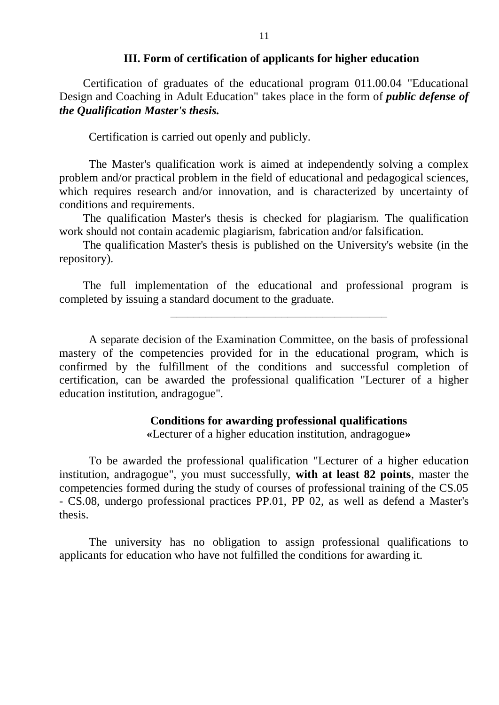#### **III. Form of certification of applicants for higher education**

Certification of graduates of the educational program 011.00.04 "Educational Design and Coaching in Adult Education" takes place in the form of *public defense of the Qualification Master's thesis.*

Certification is carried out openly and publicly.

The Master's qualification work is aimed at independently solving a complex problem and/or practical problem in the field of educational and pedagogical sciences, which requires research and/or innovation, and is characterized by uncertainty of conditions and requirements.

The qualification Master's thesis is checked for plagiarism. The qualification work should not contain academic plagiarism, fabrication and/or falsification.

The qualification Master's thesis is published on the University's website (in the repository).

The full implementation of the educational and professional program is completed by issuing a standard document to the graduate.

\_\_\_\_\_\_\_\_\_\_\_\_\_\_\_\_\_\_\_\_\_\_\_\_\_\_\_\_\_\_\_\_\_\_\_\_\_

A separate decision of the Examination Committee, on the basis of professional mastery of the competencies provided for in the educational program, which is confirmed by the fulfillment of the conditions and successful completion of certification, can be awarded the professional qualification "Lecturer of a higher education institution, andragogue".

### **Conditions for awarding professional qualifications**

**«**Lecturer of a higher education institution, andragogue**»**

To be awarded the professional qualification "Lecturer of a higher education institution, andragogue", you must successfully, **with at least 82 points**, master the competencies formed during the study of courses of professional training of the CS.05 - CS.08, undergo professional practices PP.01, PP 02, as well as defend a Master's thesis.

The university has no obligation to assign professional qualifications to applicants for education who have not fulfilled the conditions for awarding it.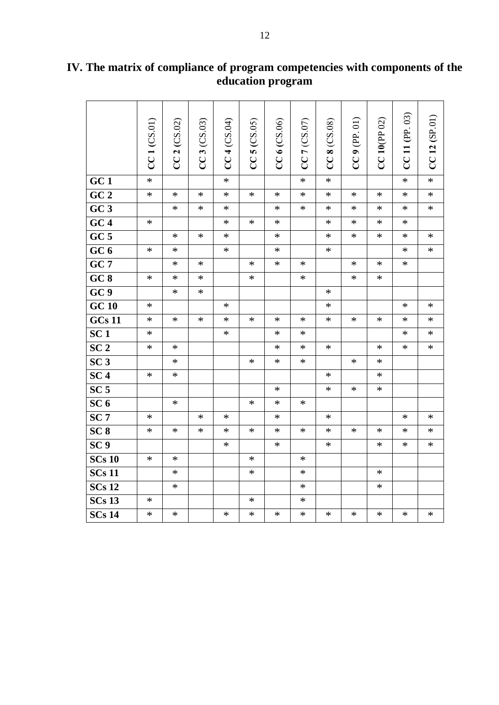|                     | $CC1$ $(CS.01)$ | CC2 (CS.02) | CC3 (CS.03) | CC4 (CS.04) | $CC$ 5 ( $CS.05$ ) | $CC6$ (CS.06) | CC 7 (CS.07) | CC 8 (CS.08) | $CC9$ (PP. 01) | $CC$ 10(PP 02) | $CC$ 11 (PP. 03) | CC12(SP.01) |
|---------------------|-----------------|-------------|-------------|-------------|--------------------|---------------|--------------|--------------|----------------|----------------|------------------|-------------|
| GC1                 | $\ast$          |             |             | $\ast$      |                    |               | $\ast$       | $\ast$       |                |                | $\ast$           | $\ast$      |
| $\overline{GC\ 2}$  | $\ast$          | $\ast$      | $\ast$      | ∗           | $\ast$             | $\ast$        | ∗            | $\ast$       | ∗              | $\ast$         | ∗                | $\ast$      |
| GC3                 |                 | $\ast$      | $\ast$      | $\ast$      |                    | $\ast$        | $\ast$       | $\ast$       | $\ast$         | $\ast$         | $\ast$           | $\ast$      |
| GC4                 | $\ast$          |             |             | $\ast$      | $\ast$             | $\ast$        |              | $\ast$       | $\ast$         | $\ast$         | $\ast$           |             |
| GC <sub>5</sub>     |                 | $\ast$      | $\ast$      | $\ast$      |                    | $\ast$        |              | $\ast$       | $\ast$         | $\ast$         | $\ast$           | $\ast$      |
| GC <sub>6</sub>     | $\ast$          | $\ast$      |             | $\ast$      |                    | $\ast$        |              | $\ast$       |                |                | $\ast$           | $\ast$      |
| $GC\overline{7}$    |                 | $\ast$      | $\ast$      |             | $\ast$             | $\ast$        | $\ast$       |              | $\ast$         | $\ast$         | $\ast$           |             |
| GC8                 | $\ast$          | $\ast$      | $\ast$      |             | $\ast$             |               | $\ast$       |              | $\ast$         | $\ast$         |                  |             |
| GC <sub>9</sub>     |                 | $\ast$      | $\ast$      |             |                    |               |              | $\ast$       |                |                |                  |             |
| <b>GC 10</b>        | $\ast$          |             |             | $\ast$      |                    |               |              | $\ast$       |                |                | $\ast$           | $\ast$      |
| <b>GCs 11</b>       | $\ast$          | $\ast$      | $\ast$      | $\ast$      | $\ast$             | $\ast$        | $\ast$       | $\ast$       | $\ast$         | $\ast$         | $\ast$           | $\ast$      |
| SC <sub>1</sub>     | $\ast$          |             |             | $\ast$      |                    | $\ast$        | $\ast$       |              |                |                | $\ast$           | $\ast$      |
| SC <sub>2</sub>     | $\ast$          | $\ast$      |             |             |                    | $\ast$        | $\ast$       | $\ast$       |                | $\ast$         | $\ast$           | $\ast$      |
| SC <sub>3</sub>     |                 | $\ast$      |             |             | $\ast$             | $\ast$        | $\ast$       |              | $\ast$         | $\ast$         |                  |             |
| SC <sub>4</sub>     | $\ast$          | $\ast$      |             |             |                    |               |              | $\ast$       |                | $\ast$         |                  |             |
| SC <sub>5</sub>     |                 |             |             |             |                    | $\ast$        |              | $\ast$       | $\ast$         | $\ast$         |                  |             |
| SC <sub>6</sub>     |                 | $\ast$      |             |             | $\ast$             | $\ast$        | $\ast$       |              |                |                |                  |             |
| SC <sub>7</sub>     | $\ast$          |             | $\ast$      | $\ast$      |                    | $\ast$        |              | $\ast$       |                |                | $\ast$           | $\ast$      |
| SC <sub>8</sub>     | $\ast$          | $\ast$      | $\ast$      | ∗           | $\ast$             | $\ast$        | $\ast$       | $\ast$       | $\ast$         | $\ast$         | $\ast$           | $\ast$      |
| SC <sub>9</sub>     |                 |             |             | $\ast$      |                    | $\ast$        |              | $\ast$       |                | $\ast$         | $\ast$           | $\ast$      |
| <b>SCs 10</b>       | $\ast$          | $\ast$      |             |             | $\ast$             |               | $\ast$       |              |                |                |                  |             |
| $SCs$ <sub>11</sub> |                 | $\ast$      |             |             | $\ast$             |               | $\ast$       |              |                | $\ast$         |                  |             |
| <b>SCs 12</b>       |                 | $\ast$      |             |             |                    |               | $\ast$       |              |                | $\ast$         |                  |             |
| <b>SCs 13</b>       | $\ast$          |             |             |             | $\ast$             |               | $\ast$       |              |                |                |                  |             |
| $SCs$ <sub>14</sub> | $\ast$          | $\ast$      |             | $\ast$      | $\ast$             | $\ast$        | $\ast$       | $\ast$       | $\ast$         | $\ast$         | $\ast$           | $\ast$      |

## **IV. The matrix of compliance of program competencies with components of the education program**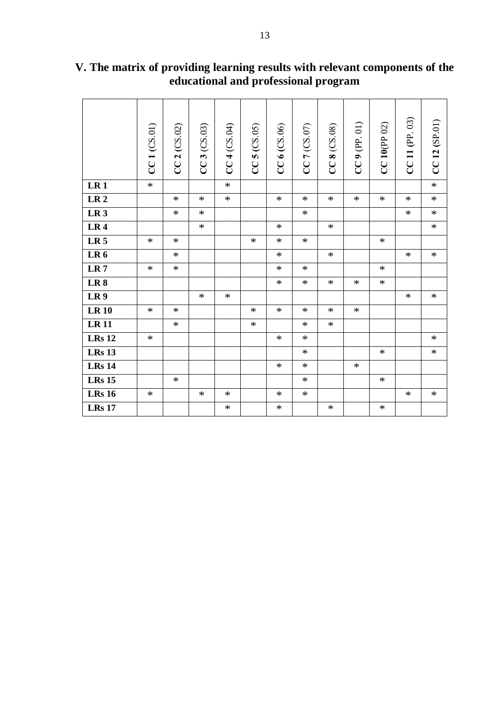|                 | CC1 (CS.01) | 2 (CS.02)<br>CC | CC 3 (CS.03) | $CC4$ (CS.04) | $CC5$ $(CS.05)$ | $CC6$ (CS.06) | CC7 (CS.07) | $CC8$ (CS.08) | $CC9$ (PP. 01) | $CC$ 10 (PP 02) | CC 11 (PP. 03) | CC12(SP.01) |
|-----------------|-------------|-----------------|--------------|---------------|-----------------|---------------|-------------|---------------|----------------|-----------------|----------------|-------------|
| LR <sub>1</sub> | $\ast$      |                 |              | $\ast$        |                 |               |             |               |                |                 |                | $\ast$      |
| LR <sub>2</sub> |             | $\ast$          | $\ast$       | $\ast$        |                 | $\ast$        | $\ast$      | $\ast$        | $\ast$         | $\ast$          | $\ast$         | $\ast$      |
| LR <sub>3</sub> |             | $\ast$          | $\ast$       |               |                 |               | $\ast$      |               |                |                 | $\ast$         | $\ast$      |
| LR4             |             |                 | $\ast$       |               |                 | $\ast$        |             | $\ast$        |                |                 |                | $\ast$      |
| LR <sub>5</sub> | $\ast$      | $\ast$          |              |               | $\ast$          | $\ast$        | $\ast$      |               |                | $\ast$          |                |             |
| LR <sub>6</sub> |             | $\ast$          |              |               |                 | $\ast$        |             | $\ast$        |                |                 | $\ast$         | $\ast$      |
| LR <sub>7</sub> | $\ast$      | $\ast$          |              |               |                 | $\ast$        | $\ast$      |               |                | $\ast$          |                |             |
| LR <sub>8</sub> |             |                 |              |               |                 | $\ast$        | $\ast$      | $\ast$        | $\ast$         | $\ast$          |                |             |
| LR <sub>9</sub> |             |                 | $\ast$       | $\ast$        |                 |               |             |               |                |                 | $\ast$         | $\ast$      |
| <b>LR10</b>     | $\ast$      | $\ast$          |              |               | $\ast$          | $\ast$        | $\ast$      | $\ast$        | $\ast$         |                 |                |             |
| $LR$ $11$       |             | $\ast$          |              |               | $\ast$          |               | $\ast$      | $\ast$        |                |                 |                |             |
| <b>LRs 12</b>   | $\ast$      |                 |              |               |                 | $\ast$        | $\ast$      |               |                |                 |                | $\ast$      |
| <b>LRs</b> 13   |             |                 |              |               |                 |               | $\ast$      |               |                | $\ast$          |                | $\ast$      |
| <b>LRs</b> 14   |             |                 |              |               |                 | $\ast$        | $\ast$      |               | $\ast$         |                 |                |             |
| <b>LRs</b> 15   |             | $\ast$          |              |               |                 |               | $\ast$      |               |                | $\ast$          |                |             |
| <b>LRs</b> 16   | $\ast$      |                 | $\ast$       | $\ast$        |                 | $\ast$        | $\ast$      |               |                |                 | $\ast$         | $\ast$      |
| <b>LRs 17</b>   |             |                 |              | $\ast$        |                 | $\ast$        |             | $\ast$        |                | $\ast$          |                |             |

**V. The matrix of providing learning results with relevant components of the educational and professional program**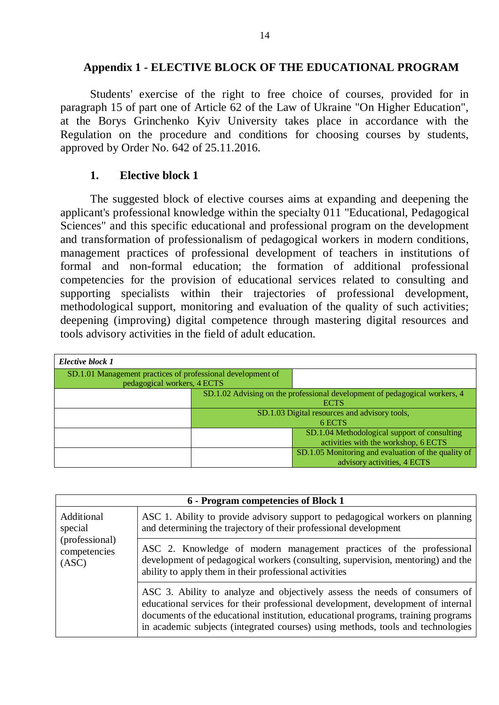### **Appendix 1 - ELECTIVE BLOCK OF THE EDUCATIONAL PROGRAM**

Students' exercise of the right to free choice of courses, provided for in paragraph 15 of part one of Article 62 of the Law of Ukraine "On Higher Education", at the Borys Grinchenko Kyiv University takes place in accordance with the Regulation on the procedure and conditions for choosing courses by students, approved by Order No. 642 of 25.11.2016.

### **1. Elective block 1**

The suggested block of elective courses aims at expanding and deepening the applicant's professional knowledge within the specialty 011 "Educational, Pedagogical Sciences" and this specific educational and professional program on the development and transformation of professionalism of pedagogical workers in modern conditions, management practices of professional development of teachers in institutions of formal and non-formal education; the formation of additional professional competencies for the provision of educational services related to consulting and supporting specialists within their trajectories of professional development, methodological support, monitoring and evaluation of the quality of such activities; deepening (improving) digital competence through mastering digital resources and tools advisory activities in the field of adult education.

| Elective block 1                                                                           |                                                                                           |                                                                                      |  |
|--------------------------------------------------------------------------------------------|-------------------------------------------------------------------------------------------|--------------------------------------------------------------------------------------|--|
| SD.1.01 Management practices of professional development of<br>pedagogical workers, 4 ECTS |                                                                                           |                                                                                      |  |
|                                                                                            | SD.1.02 Advising on the professional development of pedagogical workers, 4<br><b>ECTS</b> |                                                                                      |  |
|                                                                                            | SD.1.03 Digital resources and advisory tools,<br>6 ECTS                                   |                                                                                      |  |
|                                                                                            |                                                                                           | SD.1.04 Methodological support of consulting<br>activities with the workshop, 6 ECTS |  |
|                                                                                            |                                                                                           | SD.1.05 Monitoring and evaluation of the quality of<br>advisory activities, 4 ECTS   |  |

| 6 - Program competencies of Block 1                              |                                                                                                                                                                                                                                                                                                                                        |  |  |  |  |
|------------------------------------------------------------------|----------------------------------------------------------------------------------------------------------------------------------------------------------------------------------------------------------------------------------------------------------------------------------------------------------------------------------------|--|--|--|--|
| Additional<br>special<br>(professional)<br>competencies<br>(ASC) | ASC 1. Ability to provide advisory support to pedagogical workers on planning<br>and determining the trajectory of their professional development                                                                                                                                                                                      |  |  |  |  |
|                                                                  | ASC 2. Knowledge of modern management practices of the professional<br>development of pedagogical workers (consulting, supervision, mentoring) and the<br>ability to apply them in their professional activities                                                                                                                       |  |  |  |  |
|                                                                  | ASC 3. Ability to analyze and objectively assess the needs of consumers of<br>educational services for their professional development, development of internal<br>documents of the educational institution, educational programs, training programs<br>in academic subjects (integrated courses) using methods, tools and technologies |  |  |  |  |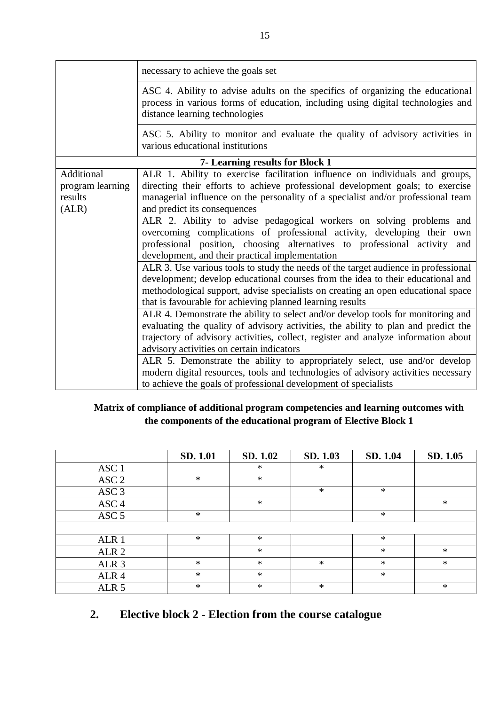|                                                    | necessary to achieve the goals set                                                                                                                                                                                                                                                                                                                                                                                                                                                                                                                                                                                                                                                                                                                                                                                                                                                                 |  |  |  |  |  |  |  |
|----------------------------------------------------|----------------------------------------------------------------------------------------------------------------------------------------------------------------------------------------------------------------------------------------------------------------------------------------------------------------------------------------------------------------------------------------------------------------------------------------------------------------------------------------------------------------------------------------------------------------------------------------------------------------------------------------------------------------------------------------------------------------------------------------------------------------------------------------------------------------------------------------------------------------------------------------------------|--|--|--|--|--|--|--|
|                                                    | ASC 4. Ability to advise adults on the specifics of organizing the educational<br>process in various forms of education, including using digital technologies and<br>distance learning technologies                                                                                                                                                                                                                                                                                                                                                                                                                                                                                                                                                                                                                                                                                                |  |  |  |  |  |  |  |
|                                                    | ASC 5. Ability to monitor and evaluate the quality of advisory activities in<br>various educational institutions                                                                                                                                                                                                                                                                                                                                                                                                                                                                                                                                                                                                                                                                                                                                                                                   |  |  |  |  |  |  |  |
| 7- Learning results for Block 1                    |                                                                                                                                                                                                                                                                                                                                                                                                                                                                                                                                                                                                                                                                                                                                                                                                                                                                                                    |  |  |  |  |  |  |  |
| Additional<br>program learning<br>results<br>(ALR) | ALR 1. Ability to exercise facilitation influence on individuals and groups,<br>directing their efforts to achieve professional development goals; to exercise<br>managerial influence on the personality of a specialist and/or professional team<br>and predict its consequences<br>ALR 2. Ability to advise pedagogical workers on solving problems and<br>overcoming complications of professional activity, developing their<br>own<br>professional position, choosing alternatives to professional activity and<br>development, and their practical implementation<br>ALR 3. Use various tools to study the needs of the target audience in professional<br>development; develop educational courses from the idea to their educational and<br>methodological support, advise specialists on creating an open educational space<br>that is favourable for achieving planned learning results |  |  |  |  |  |  |  |
|                                                    | ALR 4. Demonstrate the ability to select and/or develop tools for monitoring and<br>evaluating the quality of advisory activities, the ability to plan and predict the<br>trajectory of advisory activities, collect, register and analyze information about<br>advisory activities on certain indicators<br>ALR 5. Demonstrate the ability to appropriately select, use and/or develop<br>modern digital resources, tools and technologies of advisory activities necessary<br>to achieve the goals of professional development of specialists                                                                                                                                                                                                                                                                                                                                                    |  |  |  |  |  |  |  |

### **Matrix of compliance of additional program competencies and learning outcomes with the components of the educational program of Elective Block 1**

|                  | SD. 1.01 | SD. 1.02 | SD. 1.03 | SD. 1.04 | SD. 1.05 |
|------------------|----------|----------|----------|----------|----------|
| ASC <sub>1</sub> |          | $\ast$   | ∗        |          |          |
| ASC <sub>2</sub> | $\ast$   | $\ast$   |          |          |          |
| ASC <sub>3</sub> |          |          | $\ast$   | $\ast$   |          |
| ASC <sub>4</sub> |          | $\ast$   |          |          | $\ast$   |
| ASC <sub>5</sub> | $\ast$   |          |          | $\ast$   |          |
|                  |          |          |          |          |          |
| ALR 1            | $\ast$   | $\ast$   |          | $\ast$   |          |
| ALR <sub>2</sub> |          | $\ast$   |          | $\ast$   | $\ast$   |
| ALR <sub>3</sub> | $\ast$   | $\ast$   | $\ast$   | $\ast$   | $\ast$   |
| ALR <sub>4</sub> | $\ast$   | $\ast$   |          | $\ast$   |          |
| ALR <sub>5</sub> | $\ast$   | $\ast$   | $\ast$   |          | $\ast$   |

# **2. Elective block 2 - Election from the course catalogue**